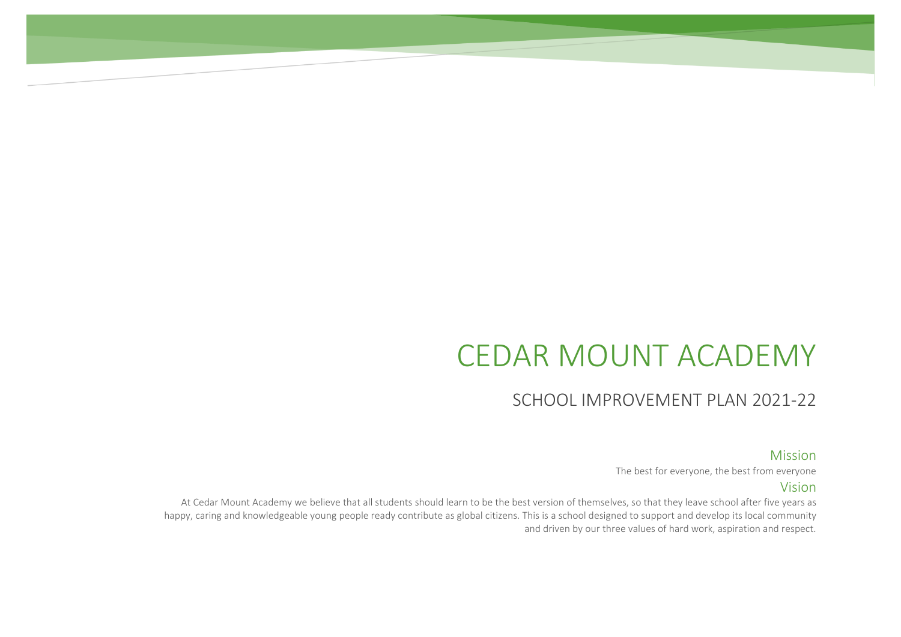# CEDAR MOUNT ACADEMY

#### SCHOOL IMPROVEMENT PLAN 2021-22

#### Mission

The best for everyone, the best from everyone

#### Vision

At Cedar Mount Academy we believe that all students should learn to be the best version of themselves, so that they leave school after five years as happy, caring and knowledgeable young people ready contribute as global citizens. This is a school designed to support and develop its local community and driven by our three values of hard work, aspiration and respect.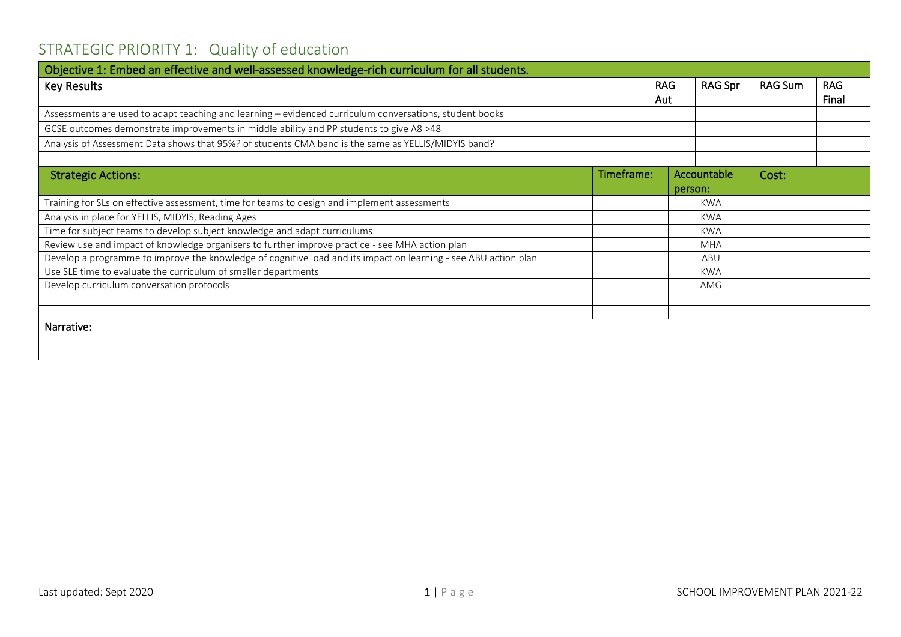# STRATEGIC PRIORITY 1: Quality of education

| Objective 1: Embed an effective and well-assessed knowledge-rich curriculum for all students.                   |            |            |                |                |            |
|-----------------------------------------------------------------------------------------------------------------|------------|------------|----------------|----------------|------------|
| <b>Key Results</b>                                                                                              |            | <b>RAG</b> | <b>RAG Spr</b> | <b>RAG Sum</b> | <b>RAG</b> |
|                                                                                                                 |            | Aut        |                |                | Final      |
| Assessments are used to adapt teaching and learning - evidenced curriculum conversations, student books         |            |            |                |                |            |
| GCSE outcomes demonstrate improvements in middle ability and PP students to give A8 >48                         |            |            |                |                |            |
| Analysis of Assessment Data shows that 95%? of students CMA band is the same as YELLIS/MIDYIS band?             |            |            |                |                |            |
|                                                                                                                 |            |            |                |                |            |
| <b>Strategic Actions:</b>                                                                                       | Timeframe: |            | Accountable    | Cost:          |            |
|                                                                                                                 |            |            | person:        |                |            |
| Training for SLs on effective assessment, time for teams to design and implement assessments                    |            |            | <b>KWA</b>     |                |            |
| Analysis in place for YELLIS, MIDYIS, Reading Ages                                                              |            |            | KWA            |                |            |
| Time for subject teams to develop subject knowledge and adapt curriculums                                       |            |            | KWA            |                |            |
| Review use and impact of knowledge organisers to further improve practice - see MHA action plan                 |            |            | <b>MHA</b>     |                |            |
| Develop a programme to improve the knowledge of cognitive load and its impact on learning - see ABU action plan |            |            | ABU            |                |            |
| Use SLE time to evaluate the curriculum of smaller departments                                                  |            |            | <b>KWA</b>     |                |            |
| Develop curriculum conversation protocols                                                                       |            |            | AMG            |                |            |
|                                                                                                                 |            |            |                |                |            |
|                                                                                                                 |            |            |                |                |            |
| Narrative:                                                                                                      |            |            |                |                |            |
|                                                                                                                 |            |            |                |                |            |
|                                                                                                                 |            |            |                |                |            |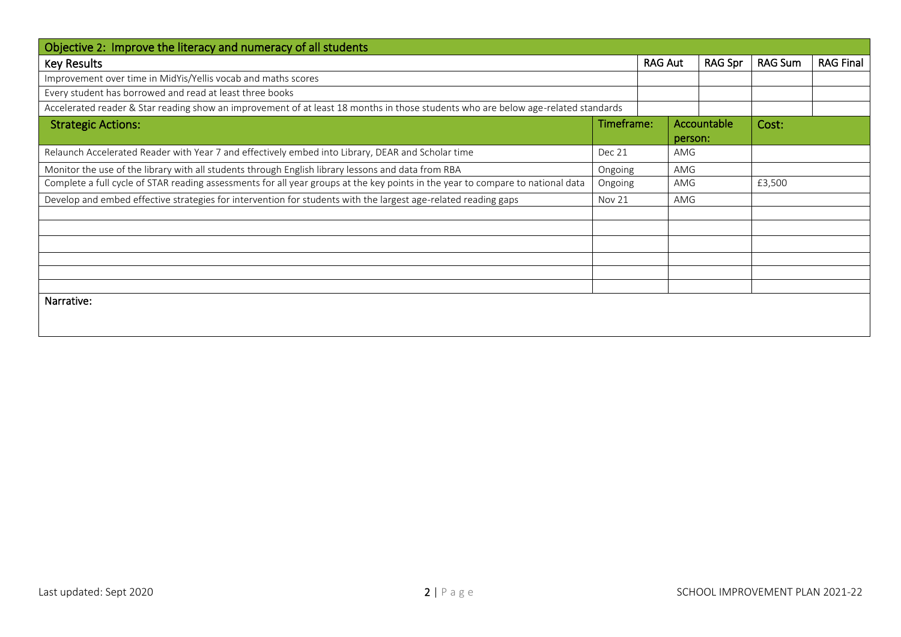| Objective 2: Improve the literacy and numeracy of all students                                                                    |            |                |         |             |                |                  |
|-----------------------------------------------------------------------------------------------------------------------------------|------------|----------------|---------|-------------|----------------|------------------|
| <b>Key Results</b>                                                                                                                |            | <b>RAG Aut</b> |         | RAG Spr     | <b>RAG Sum</b> | <b>RAG Final</b> |
| Improvement over time in MidYis/Yellis vocab and maths scores                                                                     |            |                |         |             |                |                  |
| Every student has borrowed and read at least three books                                                                          |            |                |         |             |                |                  |
| Accelerated reader & Star reading show an improvement of at least 18 months in those students who are below age-related standards |            |                |         |             |                |                  |
| <b>Strategic Actions:</b>                                                                                                         | Timeframe: |                |         | Accountable | Cost:          |                  |
|                                                                                                                                   |            |                | person: |             |                |                  |
| Relaunch Accelerated Reader with Year 7 and effectively embed into Library, DEAR and Scholar time                                 | Dec 21     | AMG            |         |             |                |                  |
| Monitor the use of the library with all students through English library lessons and data from RBA                                | Ongoing    | AMG            |         |             |                |                  |
| Complete a full cycle of STAR reading assessments for all year groups at the key points in the year to compare to national data   | Ongoing    |                |         |             | £3,500         |                  |
| Develop and embed effective strategies for intervention for students with the largest age-related reading gaps                    | Nov 21     |                | AMG     |             |                |                  |
|                                                                                                                                   |            |                |         |             |                |                  |
|                                                                                                                                   |            |                |         |             |                |                  |
|                                                                                                                                   |            |                |         |             |                |                  |
|                                                                                                                                   |            |                |         |             |                |                  |
|                                                                                                                                   |            |                |         |             |                |                  |
|                                                                                                                                   |            |                |         |             |                |                  |
| Narrative:                                                                                                                        |            |                |         |             |                |                  |
|                                                                                                                                   |            |                |         |             |                |                  |
|                                                                                                                                   |            |                |         |             |                |                  |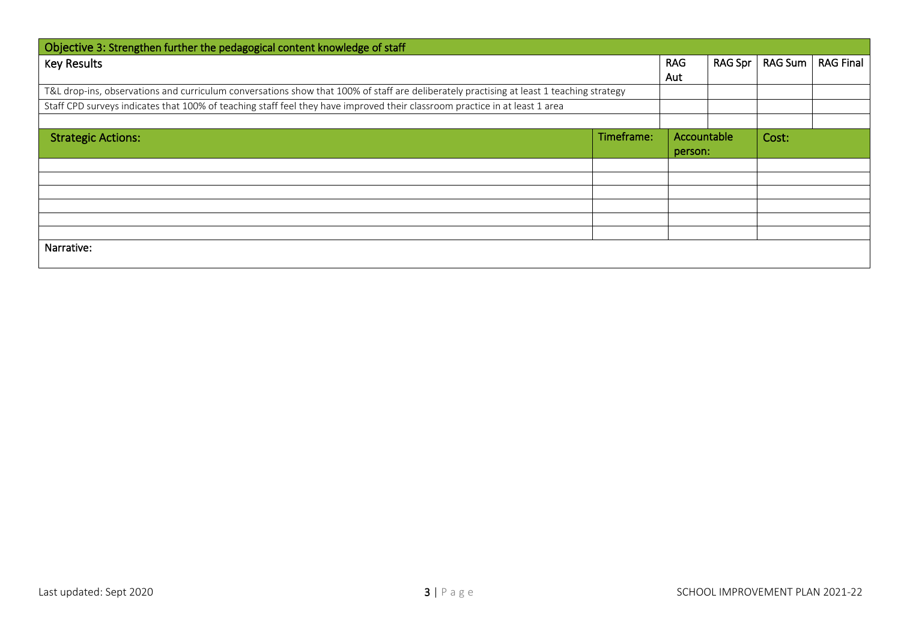| Objective 3: Strengthen further the pedagogical content knowledge of staff                                                               |            |             |         |         |                  |  |  |  |
|------------------------------------------------------------------------------------------------------------------------------------------|------------|-------------|---------|---------|------------------|--|--|--|
| <b>Key Results</b>                                                                                                                       |            |             | RAG Spr | RAG Sum | <b>RAG Final</b> |  |  |  |
|                                                                                                                                          |            | Aut         |         |         |                  |  |  |  |
| T&L drop-ins, observations and curriculum conversations show that 100% of staff are deliberately practising at least 1 teaching strategy |            |             |         |         |                  |  |  |  |
| Staff CPD surveys indicates that 100% of teaching staff feel they have improved their classroom practice in at least 1 area              |            |             |         |         |                  |  |  |  |
|                                                                                                                                          |            |             |         |         |                  |  |  |  |
| <b>Strategic Actions:</b>                                                                                                                | Timeframe: | Accountable |         | Cost:   |                  |  |  |  |
|                                                                                                                                          |            | person:     |         |         |                  |  |  |  |
|                                                                                                                                          |            |             |         |         |                  |  |  |  |
|                                                                                                                                          |            |             |         |         |                  |  |  |  |
|                                                                                                                                          |            |             |         |         |                  |  |  |  |
|                                                                                                                                          |            |             |         |         |                  |  |  |  |
|                                                                                                                                          |            |             |         |         |                  |  |  |  |
|                                                                                                                                          |            |             |         |         |                  |  |  |  |
| Narrative:                                                                                                                               |            |             |         |         |                  |  |  |  |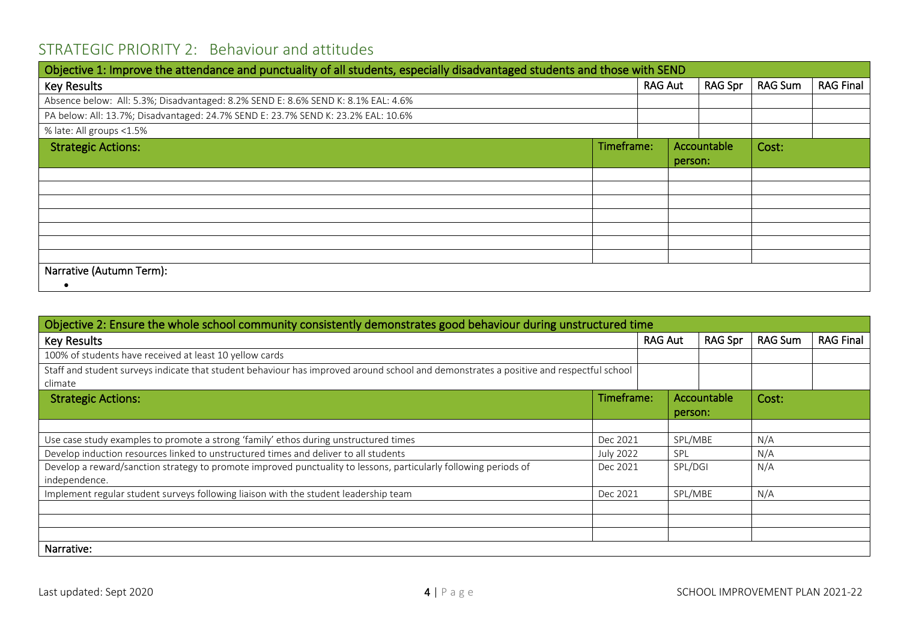### STRATEGIC PRIORITY 2: Behaviour and attitudes

| Objective 1: Improve the attendance and punctuality of all students, especially disadvantaged students and those with SEND |  |            |  |             |                |                  |  |  |  |  |  |  |  |  |       |  |
|----------------------------------------------------------------------------------------------------------------------------|--|------------|--|-------------|----------------|------------------|--|--|--|--|--|--|--|--|-------|--|
| <b>Key Results</b>                                                                                                         |  |            |  | RAG Spr     | <b>RAG Sum</b> | <b>RAG Final</b> |  |  |  |  |  |  |  |  |       |  |
| Absence below: All: 5.3%; Disadvantaged: 8.2% SEND E: 8.6% SEND K: 8.1% EAL: 4.6%                                          |  |            |  |             |                |                  |  |  |  |  |  |  |  |  |       |  |
| PA below: All: 13.7%; Disadvantaged: 24.7% SEND E: 23.7% SEND K: 23.2% EAL: 10.6%                                          |  |            |  |             |                |                  |  |  |  |  |  |  |  |  |       |  |
| % late: All groups <1.5%                                                                                                   |  |            |  |             |                |                  |  |  |  |  |  |  |  |  |       |  |
| <b>Strategic Actions:</b>                                                                                                  |  | Timeframe: |  | Accountable |                |                  |  |  |  |  |  |  |  |  | Cost: |  |
|                                                                                                                            |  |            |  | person:     |                |                  |  |  |  |  |  |  |  |  |       |  |
|                                                                                                                            |  |            |  |             |                |                  |  |  |  |  |  |  |  |  |       |  |
|                                                                                                                            |  |            |  |             |                |                  |  |  |  |  |  |  |  |  |       |  |
|                                                                                                                            |  |            |  |             |                |                  |  |  |  |  |  |  |  |  |       |  |
|                                                                                                                            |  |            |  |             |                |                  |  |  |  |  |  |  |  |  |       |  |
|                                                                                                                            |  |            |  |             |                |                  |  |  |  |  |  |  |  |  |       |  |
|                                                                                                                            |  |            |  |             |                |                  |  |  |  |  |  |  |  |  |       |  |
|                                                                                                                            |  |            |  |             |                |                  |  |  |  |  |  |  |  |  |       |  |
| Narrative (Autumn Term):                                                                                                   |  |            |  |             |                |                  |  |  |  |  |  |  |  |  |       |  |
|                                                                                                                            |  |            |  |             |                |                  |  |  |  |  |  |  |  |  |       |  |

| Objective 2: Ensure the whole school community consistently demonstrates good behaviour during unstructured time                       |            |                |             |                |                  |  |  |  |
|----------------------------------------------------------------------------------------------------------------------------------------|------------|----------------|-------------|----------------|------------------|--|--|--|
| <b>Key Results</b>                                                                                                                     |            | <b>RAG Aut</b> | RAG Spr     | <b>RAG Sum</b> | <b>RAG Final</b> |  |  |  |
| 100% of students have received at least 10 yellow cards                                                                                |            |                |             |                |                  |  |  |  |
| Staff and student surveys indicate that student behaviour has improved around school and demonstrates a positive and respectful school |            |                |             |                |                  |  |  |  |
| climate                                                                                                                                |            |                |             |                |                  |  |  |  |
| <b>Strategic Actions:</b>                                                                                                              | Timeframe: |                | Accountable | Cost:          |                  |  |  |  |
|                                                                                                                                        |            |                | person:     |                |                  |  |  |  |
|                                                                                                                                        |            |                |             |                |                  |  |  |  |
| Use case study examples to promote a strong 'family' ethos during unstructured times                                                   | Dec 2021   |                | SPL/MBE     | N/A            |                  |  |  |  |
| Develop induction resources linked to unstructured times and deliver to all students                                                   | July 2022  | SPL            |             | N/A            |                  |  |  |  |
| Develop a reward/sanction strategy to promote improved punctuality to lessons, particularly following periods of                       | Dec 2021   |                | SPL/DGI     | N/A            |                  |  |  |  |
| independence.                                                                                                                          |            |                |             |                |                  |  |  |  |
| Implement regular student surveys following liaison with the student leadership team                                                   | Dec 2021   |                | SPL/MBE     | N/A            |                  |  |  |  |
|                                                                                                                                        |            |                |             |                |                  |  |  |  |
|                                                                                                                                        |            |                |             |                |                  |  |  |  |
|                                                                                                                                        |            |                |             |                |                  |  |  |  |
| Narrative:                                                                                                                             |            |                |             |                |                  |  |  |  |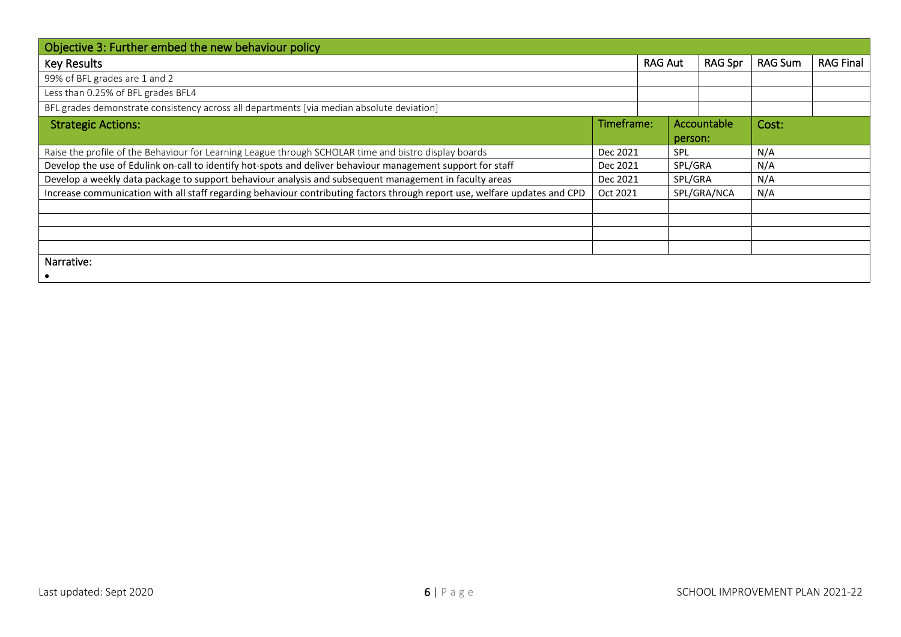| Objective 3: Further embed the new behaviour policy                                                                        |            |                        |         |             |                |                  |  |
|----------------------------------------------------------------------------------------------------------------------------|------------|------------------------|---------|-------------|----------------|------------------|--|
| <b>Key Results</b>                                                                                                         |            | <b>RAG Aut</b>         |         | RAG Spr     | <b>RAG Sum</b> | <b>RAG Final</b> |  |
| 99% of BFL grades are 1 and 2                                                                                              |            |                        |         |             |                |                  |  |
| Less than 0.25% of BFL grades BFL4                                                                                         |            |                        |         |             |                |                  |  |
| BFL grades demonstrate consistency across all departments [via median absolute deviation]                                  |            |                        |         |             |                |                  |  |
| <b>Strategic Actions:</b>                                                                                                  | Timeframe: |                        |         | Accountable | Cost:          |                  |  |
|                                                                                                                            |            |                        |         | person:     |                |                  |  |
| Raise the profile of the Behaviour for Learning League through SCHOLAR time and bistro display boards                      |            | Dec 2021<br><b>SPL</b> |         |             | N/A            |                  |  |
| Develop the use of Edulink on-call to identify hot-spots and deliver behaviour management support for staff                |            | Dec 2021               |         | SPL/GRA     | N/A            |                  |  |
| Develop a weekly data package to support behaviour analysis and subsequent management in faculty areas                     | Dec 2021   |                        | SPL/GRA | N/A         |                |                  |  |
| Increase communication with all staff regarding behaviour contributing factors through report use, welfare updates and CPD | Oct 2021   |                        |         | SPL/GRA/NCA | N/A            |                  |  |
|                                                                                                                            |            |                        |         |             |                |                  |  |
|                                                                                                                            |            |                        |         |             |                |                  |  |
|                                                                                                                            |            |                        |         |             |                |                  |  |
|                                                                                                                            |            |                        |         |             |                |                  |  |
| Narrative:                                                                                                                 |            |                        |         |             |                |                  |  |
|                                                                                                                            |            |                        |         |             |                |                  |  |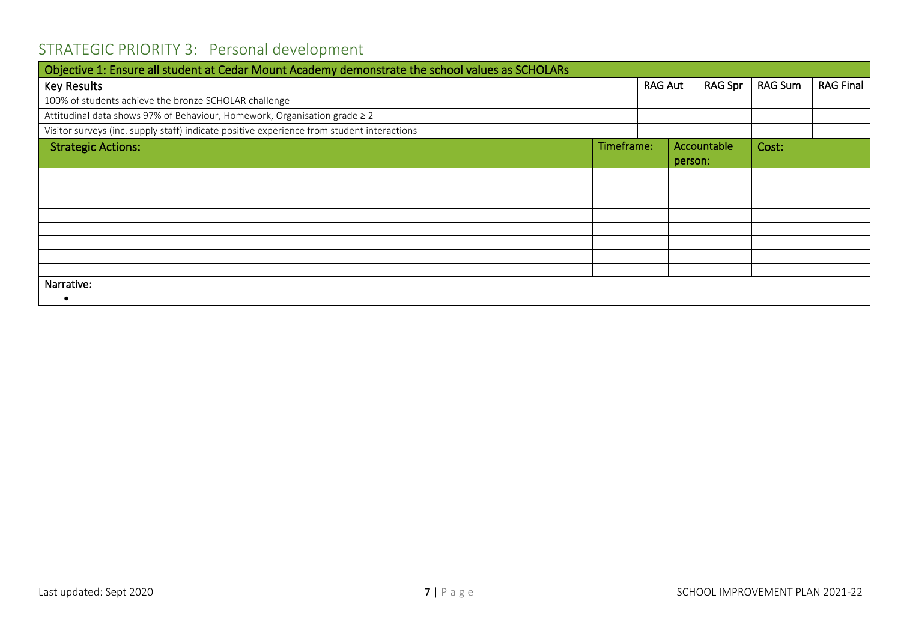## STRATEGIC PRIORITY 3: Personal development

| Objective 1: Ensure all student at Cedar Mount Academy demonstrate the school values as SCHOLARs |  |            |         |             |                |                  |
|--------------------------------------------------------------------------------------------------|--|------------|---------|-------------|----------------|------------------|
| <b>Key Results</b>                                                                               |  |            |         | RAG Spr     | <b>RAG Sum</b> | <b>RAG Final</b> |
| 100% of students achieve the bronze SCHOLAR challenge                                            |  |            |         |             |                |                  |
| Attitudinal data shows 97% of Behaviour, Homework, Organisation grade ≥ 2                        |  |            |         |             |                |                  |
| Visitor surveys (inc. supply staff) indicate positive experience from student interactions       |  |            |         |             |                |                  |
| <b>Strategic Actions:</b>                                                                        |  | Timeframe: |         | Accountable | Cost:          |                  |
|                                                                                                  |  |            | person: |             |                |                  |
|                                                                                                  |  |            |         |             |                |                  |
|                                                                                                  |  |            |         |             |                |                  |
|                                                                                                  |  |            |         |             |                |                  |
|                                                                                                  |  |            |         |             |                |                  |
|                                                                                                  |  |            |         |             |                |                  |
|                                                                                                  |  |            |         |             |                |                  |
|                                                                                                  |  |            |         |             |                |                  |
|                                                                                                  |  |            |         |             |                |                  |
| Narrative:                                                                                       |  |            |         |             |                |                  |
| ٠                                                                                                |  |            |         |             |                |                  |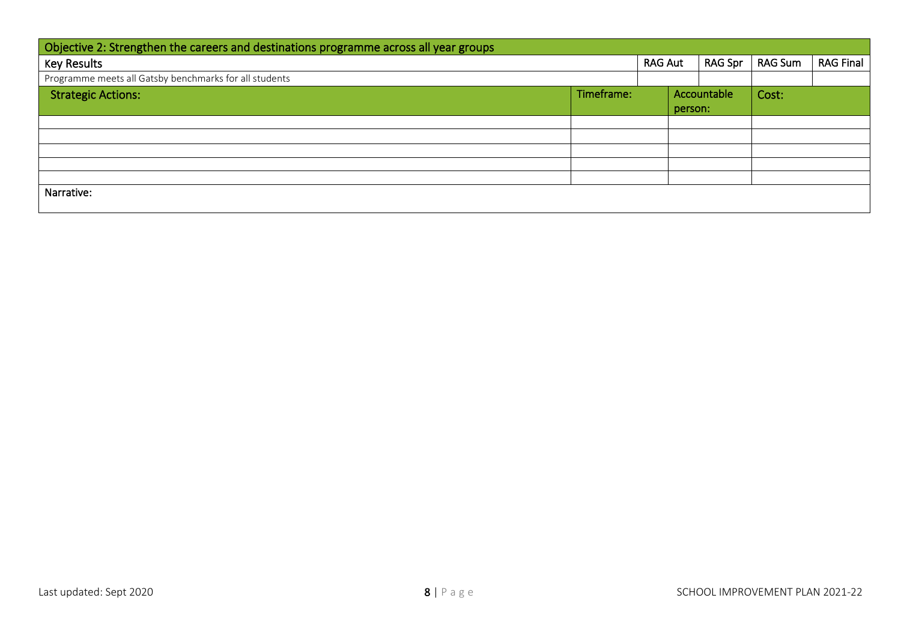| Objective 2: Strengthen the careers and destinations programme across all year groups |            |  |         |             |         |                  |
|---------------------------------------------------------------------------------------|------------|--|---------|-------------|---------|------------------|
| <b>Key Results</b>                                                                    |            |  |         | RAG Spr     | RAG Sum | <b>RAG Final</b> |
| Programme meets all Gatsby benchmarks for all students                                |            |  |         |             |         |                  |
| <b>Strategic Actions:</b>                                                             | Timeframe: |  |         | Accountable | Cost:   |                  |
|                                                                                       |            |  | person: |             |         |                  |
|                                                                                       |            |  |         |             |         |                  |
|                                                                                       |            |  |         |             |         |                  |
|                                                                                       |            |  |         |             |         |                  |
|                                                                                       |            |  |         |             |         |                  |
|                                                                                       |            |  |         |             |         |                  |
| Narrative:                                                                            |            |  |         |             |         |                  |
|                                                                                       |            |  |         |             |         |                  |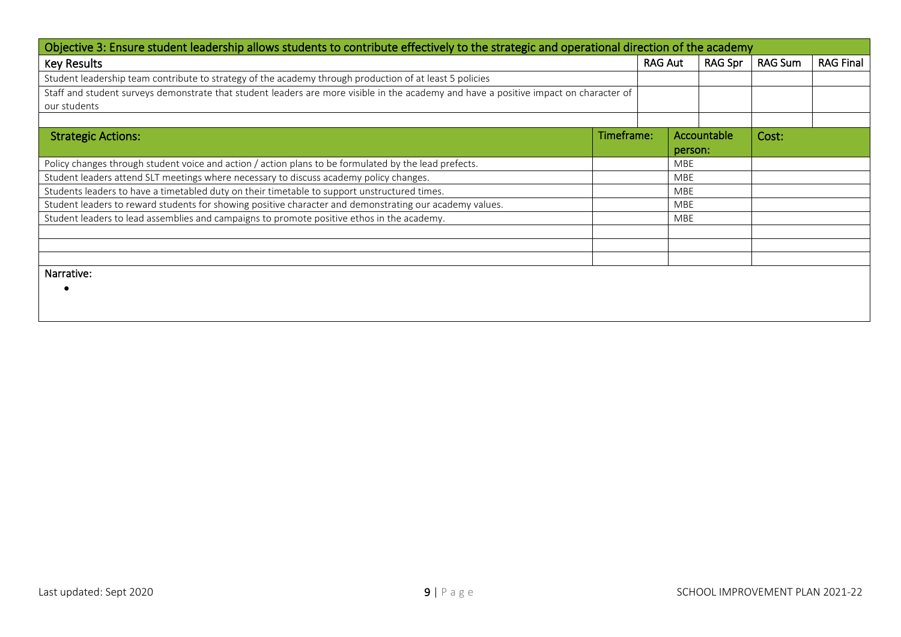| Objective 3: Ensure student leadership allows students to contribute effectively to the strategic and operational direction of the academy |            |  |                                  |                |                  |  |  |
|--------------------------------------------------------------------------------------------------------------------------------------------|------------|--|----------------------------------|----------------|------------------|--|--|
| <b>Key Results</b>                                                                                                                         |            |  | <b>RAG Aut</b><br><b>RAG Spr</b> | <b>RAG Sum</b> | <b>RAG Final</b> |  |  |
| Student leadership team contribute to strategy of the academy through production of at least 5 policies                                    |            |  |                                  |                |                  |  |  |
| Staff and student surveys demonstrate that student leaders are more visible in the academy and have a positive impact on character of      |            |  |                                  |                |                  |  |  |
| our students                                                                                                                               |            |  |                                  |                |                  |  |  |
|                                                                                                                                            |            |  |                                  |                |                  |  |  |
| <b>Strategic Actions:</b>                                                                                                                  | Timeframe: |  | Accountable                      | Cost:          |                  |  |  |
|                                                                                                                                            |            |  | person:                          |                |                  |  |  |
| Policy changes through student voice and action / action plans to be formulated by the lead prefects.                                      |            |  | <b>MBE</b>                       |                |                  |  |  |
| Student leaders attend SLT meetings where necessary to discuss academy policy changes.                                                     |            |  | <b>MBE</b>                       |                |                  |  |  |
| Students leaders to have a timetabled duty on their timetable to support unstructured times.                                               |            |  | <b>MBE</b>                       |                |                  |  |  |
| Student leaders to reward students for showing positive character and demonstrating our academy values.                                    |            |  | <b>MBE</b>                       |                |                  |  |  |
| Student leaders to lead assemblies and campaigns to promote positive ethos in the academy.                                                 |            |  | <b>MBE</b>                       |                |                  |  |  |
|                                                                                                                                            |            |  |                                  |                |                  |  |  |
|                                                                                                                                            |            |  |                                  |                |                  |  |  |
|                                                                                                                                            |            |  |                                  |                |                  |  |  |
| Narrative:                                                                                                                                 |            |  |                                  |                |                  |  |  |
|                                                                                                                                            |            |  |                                  |                |                  |  |  |
|                                                                                                                                            |            |  |                                  |                |                  |  |  |
|                                                                                                                                            |            |  |                                  |                |                  |  |  |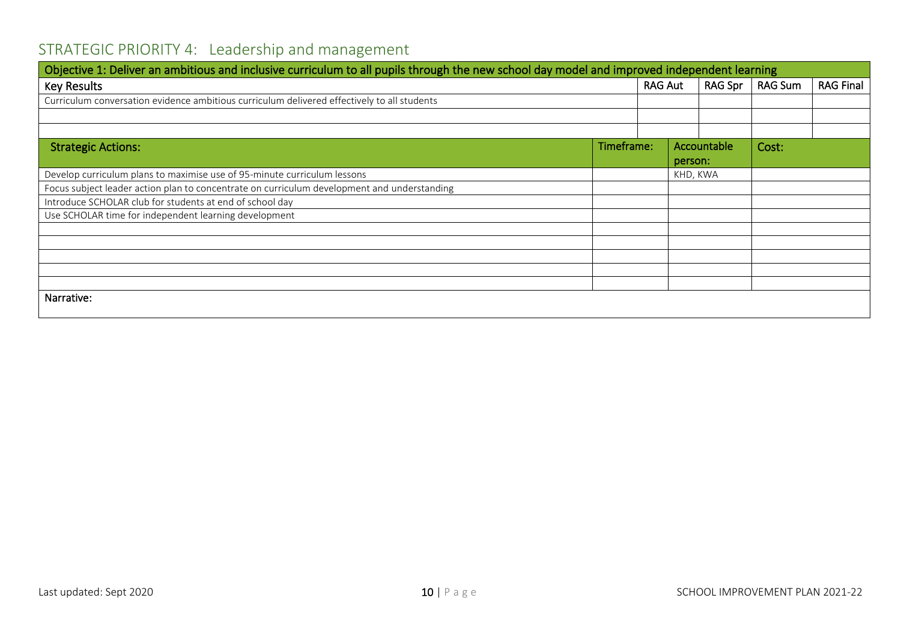## STRATEGIC PRIORITY 4: Leadership and management

| Objective 1: Deliver an ambitious and inclusive curriculum to all pupils through the new school day model and improved independent learning |            |  |                |             |                |                  |  |  |
|---------------------------------------------------------------------------------------------------------------------------------------------|------------|--|----------------|-------------|----------------|------------------|--|--|
| <b>Key Results</b>                                                                                                                          |            |  | <b>RAG Aut</b> | RAG Spr     | <b>RAG Sum</b> | <b>RAG Final</b> |  |  |
| Curriculum conversation evidence ambitious curriculum delivered effectively to all students                                                 |            |  |                |             |                |                  |  |  |
|                                                                                                                                             |            |  |                |             |                |                  |  |  |
|                                                                                                                                             |            |  |                |             |                |                  |  |  |
| <b>Strategic Actions:</b>                                                                                                                   | Timeframe: |  |                | Accountable | Cost:          |                  |  |  |
|                                                                                                                                             |            |  | person:        |             |                |                  |  |  |
| Develop curriculum plans to maximise use of 95-minute curriculum lessons                                                                    |            |  | KHD, KWA       |             |                |                  |  |  |
| Focus subject leader action plan to concentrate on curriculum development and understanding                                                 |            |  |                |             |                |                  |  |  |
| Introduce SCHOLAR club for students at end of school day                                                                                    |            |  |                |             |                |                  |  |  |
| Use SCHOLAR time for independent learning development                                                                                       |            |  |                |             |                |                  |  |  |
|                                                                                                                                             |            |  |                |             |                |                  |  |  |
|                                                                                                                                             |            |  |                |             |                |                  |  |  |
|                                                                                                                                             |            |  |                |             |                |                  |  |  |
|                                                                                                                                             |            |  |                |             |                |                  |  |  |
|                                                                                                                                             |            |  |                |             |                |                  |  |  |
| Narrative:                                                                                                                                  |            |  |                |             |                |                  |  |  |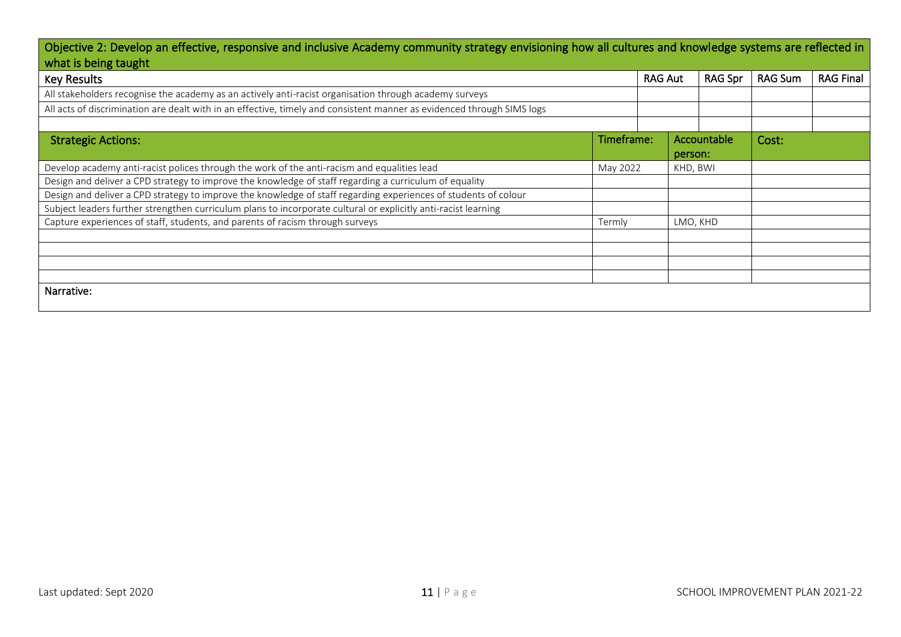| Objective 2: Develop an effective, responsive and inclusive Academy community strategy envisioning how all cultures and knowledge systems are reflected in<br>what is being taught |            |  |          |             |                |                  |  |  |
|------------------------------------------------------------------------------------------------------------------------------------------------------------------------------------|------------|--|----------|-------------|----------------|------------------|--|--|
| <b>Key Results</b>                                                                                                                                                                 |            |  |          | RAG Spr     | <b>RAG Sum</b> | <b>RAG Final</b> |  |  |
| All stakeholders recognise the academy as an actively anti-racist organisation through academy surveys                                                                             |            |  |          |             |                |                  |  |  |
| All acts of discrimination are dealt with in an effective, timely and consistent manner as evidenced through SIMS logs                                                             |            |  |          |             |                |                  |  |  |
|                                                                                                                                                                                    |            |  |          |             |                |                  |  |  |
| <b>Strategic Actions:</b>                                                                                                                                                          | Timeframe: |  |          | Accountable | Cost:          |                  |  |  |
|                                                                                                                                                                                    |            |  | person:  |             |                |                  |  |  |
| Develop academy anti-racist polices through the work of the anti-racism and equalities lead                                                                                        | May 2022   |  | KHD, BWI |             |                |                  |  |  |
| Design and deliver a CPD strategy to improve the knowledge of staff regarding a curriculum of equality                                                                             |            |  |          |             |                |                  |  |  |
| Design and deliver a CPD strategy to improve the knowledge of staff regarding experiences of students of colour                                                                    |            |  |          |             |                |                  |  |  |
| Subject leaders further strengthen curriculum plans to incorporate cultural or explicitly anti-racist learning                                                                     |            |  |          |             |                |                  |  |  |
| Capture experiences of staff, students, and parents of racism through surveys                                                                                                      | Termly     |  | LMO, KHD |             |                |                  |  |  |
|                                                                                                                                                                                    |            |  |          |             |                |                  |  |  |
|                                                                                                                                                                                    |            |  |          |             |                |                  |  |  |
|                                                                                                                                                                                    |            |  |          |             |                |                  |  |  |
|                                                                                                                                                                                    |            |  |          |             |                |                  |  |  |
| Narrative:                                                                                                                                                                         |            |  |          |             |                |                  |  |  |